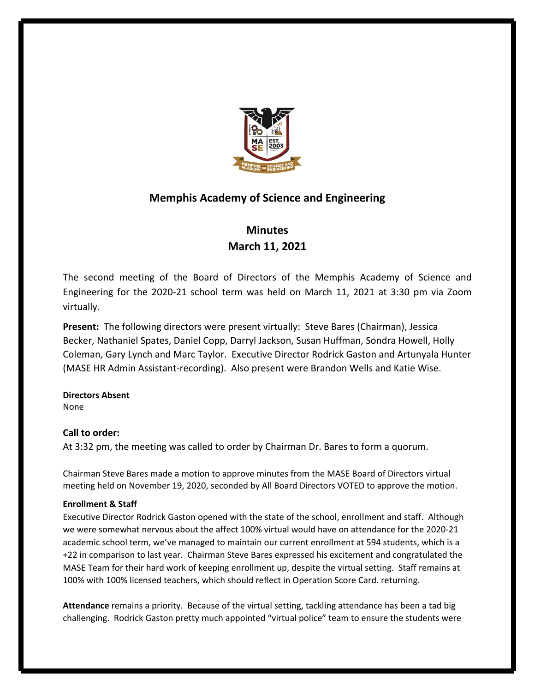

## **Memphis Academy of Science and Engineering**

# **Minutes March 11, 2021**

The second meeting of the Board of Directors of the Memphis Academy of Science and Engineering for the 2020-21 school term was held on March 11, 2021 at 3:30 pm via Zoom virtually.

**Present:** The following directors were present virtually: Steve Bares (Chairman), Jessica Becker, Nathaniel Spates, Daniel Copp, Darryl Jackson, Susan Huffman, Sondra Howell, Holly Coleman, Gary Lynch and Marc Taylor. Executive Director Rodrick Gaston and Artunyala Hunter (MASE HR Admin Assistant-recording). Also present were Brandon Wells and Katie Wise.

## **Directors Absent**

None

## **Call to order:**

At 3:32 pm, the meeting was called to order by Chairman Dr. Bares to form a quorum.

Chairman Steve Bares made a motion to approve minutes from the MASE Board of Directors virtual meeting held on November 19, 2020, seconded by All Board Directors VOTED to approve the motion.

## **Enrollment & Staff**

Executive Director Rodrick Gaston opened with the state of the school, enrollment and staff. Although we were somewhat nervous about the affect 100% virtual would have on attendance for the 2020-21 academic school term, we've managed to maintain our current enrollment at 594 students, which is a +22 in comparison to last year. Chairman Steve Bares expressed his excitement and congratulated the MASE Team for their hard work of keeping enrollment up, despite the virtual setting. Staff remains at 100% with 100% licensed teachers, which should reflect in Operation Score Card. returning.

**Attendance** remains a priority. Because of the virtual setting, tackling attendance has been a tad big challenging. Rodrick Gaston pretty much appointed "virtual police" team to ensure the students were